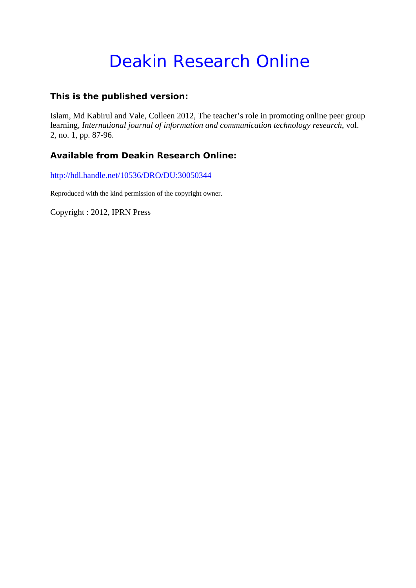# Deakin Research Online

# **This is the published version:**

Islam, Md Kabirul and Vale, Colleen 2012, The teacher's role in promoting online peer group learning*, International journal of information and communication technology research*, vol. 2, no. 1, pp. 87-96.

# **Available from Deakin Research Online:**

http://hdl.handle.net/10536/DRO/DU:30050344

Reproduced with the kind permission of the copyright owner.

Copyright : 2012, IPRN Press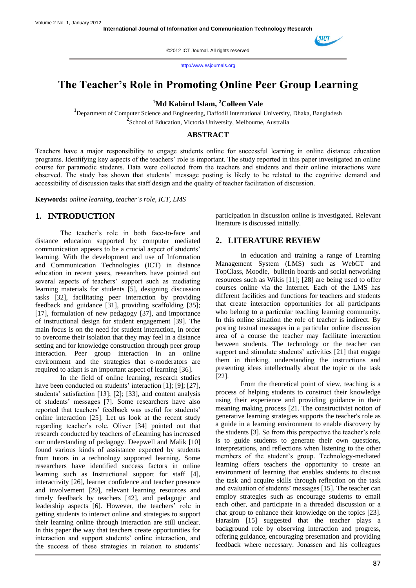

http://www.esjournals.org

# **The Teacher's Role in Promoting Online Peer Group Learning**

**<sup>1</sup>Md Kabirul Islam, <sup>2</sup>Colleen Vale**

**1** Department of Computer Science and Engineering, Daffodil International University, Dhaka, Bangladesh <sup>2</sup> School of Education, Victoria University, Melbourne, Australia

#### **ABSTRACT**

Teachers have a major responsibility to engage students online for successful learning in online distance education programs. Identifying key aspects of the teachers' role is important. The study reported in this paper investigated an online course for paramedic students. Data were collected from the teachers and students and their online interactions were observed. The study has shown that students' message posting is likely to be related to the cognitive demand and accessibility of discussion tasks that staff design and the quality of teacher facilitation of discussion.

**Keywords:** *online learning, teacher's role, ICT, LMS*

# **1. INTRODUCTION**

The teacher's role in both face-to-face and distance education supported by computer mediated communication appears to be a crucial aspect of students' learning. With the development and use of Information and Communication Technologies (ICT) in distance education in recent years, researchers have pointed out several aspects of teachers' support such as mediating learning materials for students [5], designing discussion tasks [32], facilitating peer interaction by providing feedback and guidance [31], providing scaffolding [35]; [17], formulation of new pedagogy [37], and importance of instructional design for student engagement [39]. The main focus is on the need for student interaction, in order to overcome their isolation that they may feel in a distance setting and for knowledge construction through peer group interaction. Peer group interaction in an online environment and the strategies that e-moderators are required to adapt is an important aspect of learning [36].

In the field of online learning, research studies have been conducted on students' interaction [1]; [9]; [27], students' satisfaction [13]; [2]; [33], and content analysis of students" messages [7]. Some researchers have also reported that teachers' feedback was useful for students' online interaction [25]. Let us look at the recent study regarding teacher"s role. Oliver [34] pointed out that research conducted by teachers of eLearning has increased our understanding of pedagogy. Deepwell and Malik [10] found various kinds of assistance expected by students from tutors in a technology supported learning. Some researchers have identified success factors in online learning such as Instructional support for staff [4], interactivity [26], learner confidence and teacher presence and involvement [29], relevant learning resources and timely feedback by teachers [42], and pedagogic and leadership aspects [6]. However, the teachers' role in getting students to interact online and strategies to support their learning online through interaction are still unclear. In this paper the way that teachers create opportunities for interaction and support students" online interaction, and the success of these strategies in relation to students'

participation in discussion online is investigated. Relevant literature is discussed initially.

#### **2. LITERATURE REVIEW**

In education and training a range of Learning Management System (LMS) such as WebCT and TopClass, Moodle, bulletin boards and social networking resources such as Wikis [11]; [28] are being used to offer courses online via the Internet. Each of the LMS has different facilities and functions for teachers and students that create interaction opportunities for all participants who belong to a particular teaching learning community. In this online situation the role of teacher is indirect. By posting textual messages in a particular online discussion area of a course the teacher may facilitate interaction between students. The technology or the teacher can support and stimulate students' activities [21] that engage them in thinking, understanding the instructions and presenting ideas intellectually about the topic or the task [22].

From the theoretical point of view, teaching is a process of helping students to construct their knowledge using their experience and providing guidance in their meaning making process [21. The constructivist notion of generative learning strategies supports the teacher's role as a guide in a learning environment to enable discovery by the students [3]. So from this perspective the teacher's role is to guide students to generate their own questions, interpretations, and reflections when listening to the other members of the student's group. Technology-mediated learning offers teachers the opportunity to create an environment of learning that enables students to discuss the task and acquire skills through reflection on the task and evaluation of students' messages [15]. The teacher can employ strategies such as encourage students to email each other, and participate in a threaded discussion or a chat group to enhance their knowledge on the topics [23]. Harasim [15] suggested that the teacher plays a background role by observing interaction and progress, offering guidance, encouraging presentation and providing feedback where necessary. Jonassen and his colleagues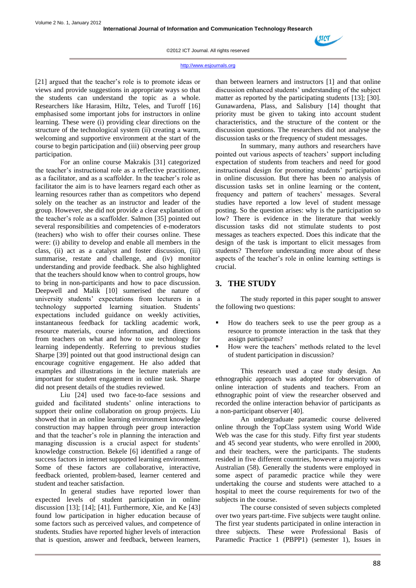

#### http://www.esjournals.org

[21] argued that the teacher's role is to promote ideas or views and provide suggestions in appropriate ways so that the students can understand the topic as a whole. Researchers like Harasim, Hiltz, Teles, and Turoff [16] emphasised some important jobs for instructors in online learning. These were (i) providing clear directions on the structure of the technological system (ii) creating a warm, welcoming and supportive environment at the start of the course to begin participation and (iii) observing peer group participation.

For an online course Makrakis [31] categorized the teacher"s instructional role as a reflective practitioner, as a facilitator, and as a scaffolder. In the teacher"s role as facilitator the aim is to have learners regard each other as learning resources rather than as competitors who depend solely on the teacher as an instructor and leader of the group. However, she did not provide a clear explanation of the teacher"s role as a scaffolder. Salmon [35] pointed out several responsibilities and competencies of e-moderators (teachers) who wish to offer their courses online. These were: (i) ability to develop and enable all members in the class, (ii) act as a catalyst and foster discussion, (iii) summarise, restate and challenge, and (iv) monitor understanding and provide feedback. She also highlighted that the teachers should know when to control groups, how to bring in non-participants and how to pace discussion. Deepwell and Malik [10] sumerised the nature of university students" expectations from lecturers in a technology supported learning situation. Students' expectations included guidance on weekly activities, instantaneous feedback for tackling academic work, resource materials, course information, and directions from teachers on what and how to use technology for learning independently. Referring to previous studies Sharpe [39] pointed out that good instructional design can encourage cognitive engagement. He also added that examples and illustrations in the lecture materials are important for student engagement in online task. Sharpe did not present details of the studies reviewed.

Liu [24] used two face-to-face sessions and guided and facilitated students" online interactions to support their online collaboration on group projects. Liu showed that in an online learning environment knowledge construction may happen through peer group interaction and that the teacher"s role in planning the interaction and managing discussion is a crucial aspect for students' knowledge construction. Bekele [6] identified a range of success factors in internet supported learning environment. Some of these factors are collaborative, interactive, feedback oriented, problem-based, learner centered and student and teacher satisfaction.

In general studies have reported lower than expected levels of student participation in online discussion [13]; [14]; [41]. Furthermore, Xie, and Ke [43] found low participation in higher education because of some factors such as perceived values, and competence of students. Studies have reported higher levels of interaction that is question, answer and feedback, between learners, than between learners and instructors [1] and that online discussion enhanced students" understanding of the subject matter as reported by the participating students [13]; [30]. Gunawardena, Plass, and Salisbury [14] thought that priority must be given to taking into account student characteristics, and the structure of the content or the discussion questions. The researchers did not analyse the discussion tasks or the frequency of student messages.

In summary, many authors and researchers have pointed out various aspects of teachers' support including expectation of students from teachers and need for good instructional design for promoting students" participation in online discussion. But there has been no analysis of discussion tasks set in online learning or the content, frequency and pattern of teachers' messages. Several studies have reported a low level of student message posting. So the question arises: why is the participation so low? There is evidence in the literature that weekly discussion tasks did not stimulate students to post messages as teachers expected. Does this indicate that the design of the task is important to elicit messages from students? Therefore understanding more about of these aspects of the teacher"s role in online learning settings is crucial.

#### **3. THE STUDY**

The study reported in this paper sought to answer the following two questions:

- How do teachers seek to use the peer group as a resource to promote interaction in the task that they assign participants?
- How were the teachers" methods related to the level of student participation in discussion?

This research used a case study design. An ethnographic approach was adopted for observation of online interaction of students and teachers. From an ethnographic point of view the researcher observed and recorded the online interaction behavior of participants as a non-participant observer [40].

An undergraduate paramedic course delivered online through the TopClass system using World Wide Web was the case for this study. Fifty first year students and 45 second year students, who were enrolled in 2000, and their teachers, were the participants. The students resided in five different countries, however a majority was Australian (58). Generally the students were employed in some aspect of paramedic practice while they were undertaking the course and students were attached to a hospital to meet the course requirements for two of the subjects in the course.

The course consisted of seven subjects completed over two years part-time. Five subjects were taught online. The first year students participated in online interaction in three subjects. These were Professional Basis of Paramedic Practice 1 (PBPP1) (semester 1), Issues in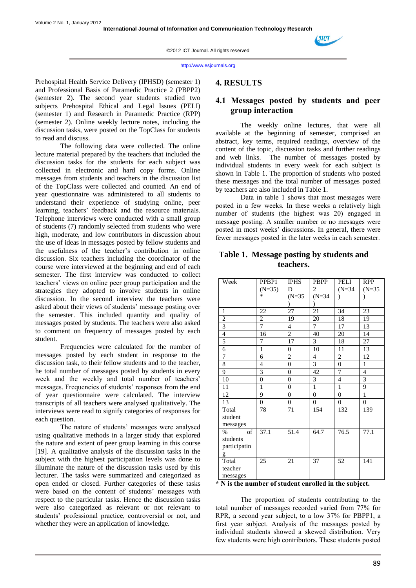

Prehospital Health Service Delivery (IPHSD) (semester 1) and Professional Basis of Paramedic Practice 2 (PBPP2) (semester 2). The second year students studied two subjects Prehospital Ethical and Legal Issues (PELI) (semester 1) and Research in Paramedic Practice (RPP) (semester 2). Online weekly lecture notes, including the discussion tasks, were posted on the TopClass for students to read and discuss.

The following data were collected. The online lecture material prepared by the teachers that included the discussion tasks for the students for each subject was collected in electronic and hard copy forms. Online messages from students and teachers in the discussion list of the TopClass were collected and counted. An end of year questionnaire was administered to all students to understand their experience of studying online, peer learning, teachers' feedback and the resource materials. Telephone interviews were conducted with a small group of students (7) randomly selected from students who were high, moderate, and low contributors in discussion about the use of ideas in messages posted by fellow students and the usefulness of the teacher"s contribution in online discussion. Six teachers including the coordinator of the course were interviewed at the beginning and end of each semester. The first interview was conducted to collect teachers" views on online peer group participation and the strategies they adopted to involve students in online discussion. In the second interview the teachers were asked about their views of students' message posting over the semester. This included quantity and quality of messages posted by students. The teachers were also asked to comment on frequency of messages posted by each student.

Frequencies were calculated for the number of messages posted by each student in response to the discussion task, to their fellow students and to the teacher, he total number of messages posted by students in every week and the weekly and total number of teachers' messages. Frequencies of students" responses from the end of year questionnaire were calculated. The interview transcripts of all teachers were analysed qualitatively. The interviews were read to signify categories of responses for each question.

The nature of students' messages were analysed using qualitative methods in a larger study that explored the nature and extent of peer group learning in this course [19]. A qualitative analysis of the discussion tasks in the subject with the highest participation levels was done to illuminate the nature of the discussion tasks used by this lecturer. The tasks were summarized and categorized as open ended or closed. Further categories of these tasks were based on the content of students' messages with respect to the particular tasks. Hence the discussion tasks were also categorized as relevant or not relevant to students" professional practice, controversial or not, and whether they were an application of knowledge.

#### **4. RESULTS**

# **4.1 Messages posted by students and peer group interaction**

The weekly online lectures, that were all available at the beginning of semester, comprised an abstract, key terms, required readings, overview of the content of the topic, discussion tasks and further readings and web links. The number of messages posted by individual students in every week for each subject is shown in Table 1. The proportion of students who posted these messages and the total number of messages posted by teachers are also included in Table 1.

Data in table 1 shows that most messages were posted in a few weeks. In these weeks a relatively high number of students (the highest was 20) engaged in message posting. A smaller number or no messages were posted in most weeks' discussions. In general, there were fewer messages posted in the later weeks in each semester.

| Table 1. Message posting by students and |
|------------------------------------------|
| teachers.                                |

| Week           | PPBP1            | <b>IPHS</b>      | PBPP           | PELI             | <b>RPP</b>     |
|----------------|------------------|------------------|----------------|------------------|----------------|
|                | $(N=35)$         | D                | 2              | $(N=34)$         | $(N=35)$       |
|                | $\ast$           | $(N=35)$         | $(N=34)$       |                  |                |
|                |                  |                  |                |                  |                |
| 1              | 22               | 27               | 21             | 34               | 23             |
| $\sqrt{2}$     | $\overline{c}$   | 19               | 20             | 18               | 19             |
| $\overline{3}$ | $\overline{7}$   | $\overline{4}$   | $\overline{7}$ | $\overline{17}$  | 13             |
| $\overline{4}$ | 16               | $\overline{2}$   | 40             | 20               | 14             |
| 5              | 7                | 17               | 3              | 18               | 27             |
| $\overline{6}$ | $\mathbf{1}$     | $\overline{0}$   | 10             | 11               | 13             |
| $\overline{7}$ | 6                | $\overline{2}$   | $\overline{4}$ | $\overline{2}$   | 12             |
| 8              | $\overline{4}$   | $\boldsymbol{0}$ | $\overline{3}$ | $\boldsymbol{0}$ | $\mathbf{1}$   |
| 9              | 3                | $\boldsymbol{0}$ | 42             | $\overline{7}$   | $\overline{4}$ |
| 10             | $\boldsymbol{0}$ | $\boldsymbol{0}$ | 3              | $\overline{4}$   | $\overline{3}$ |
| 11             | $\mathbf{1}$     | $\boldsymbol{0}$ | $\mathbf{1}$   | $\mathbf{1}$     | 9              |
| 12             | 9                | $\boldsymbol{0}$ | $\overline{0}$ | $\boldsymbol{0}$ | $\,1$          |
| 13             | $\overline{0}$   | $\boldsymbol{0}$ | $\Omega$       | $\overline{0}$   | $\overline{0}$ |
| Total          | 78               | 71               | 154            | 132              | 139            |
| student        |                  |                  |                |                  |                |
| messages       |                  |                  |                |                  |                |
| of<br>$\%$     | 37.1             | 51.4             | 64.7           | 76.5             | 77.1           |
| students       |                  |                  |                |                  |                |
| participatin   |                  |                  |                |                  |                |
| g              |                  |                  |                |                  |                |
| Total          | 25               | 21               | 37             | 52               | 141            |
| teacher        |                  |                  |                |                  |                |
| messages       |                  |                  |                |                  |                |

#### **\* N is the number of student enrolled in the subject.**

The proportion of students contributing to the total number of messages recorded varied from 77% for RPR, a second year subject, to a low 37% for PBPP1, a first year subject. Analysis of the messages posted by individual students showed a skewed distribution. Very few students were high contributors. These students posted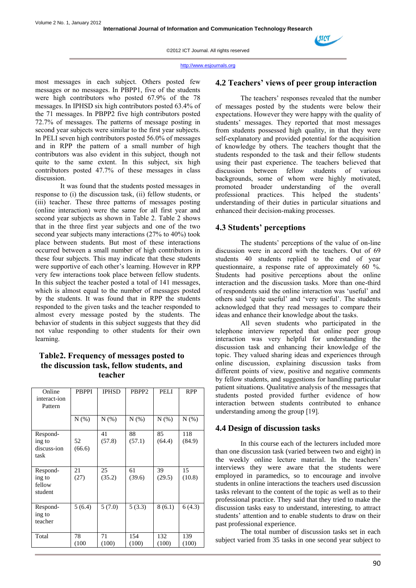

http://www.esjournals.org

most messages in each subject. Others posted few messages or no messages. In PBPP1, five of the students were high contributors who posted 67.9% of the 78 messages. In IPHSD six high contributors posted 63.4% of the 71 messages. In PBPP2 five high contributors posted 72.7% of messages. The patterns of message posting in second year subjects were similar to the first year subjects. In PELI seven high contributors posted 56.0% of messages and in RPP the pattern of a small number of high contributors was also evident in this subject, though not quite to the same extent. In this subject, six high contributors posted 47.7% of these messages in class discussion.

It was found that the students posted messages in response to (i) the discussion task, (ii) fellow students, or (iii) teacher. These three patterns of messages posting (online interaction) were the same for all first year and second year subjects as shown in Table 2. Table 2 shows that in the three first year subjects and one of the two second year subjects many interactions (27% to 40%) took place between students. But most of these interactions occurred between a small number of high contributors in these four subjects. This may indicate that these students were supportive of each other's learning. However in RPP very few interactions took place between fellow students. In this subject the teacher posted a total of 141 messages, which is almost equal to the number of messages posted by the students. It was found that in RPP the students responded to the given tasks and the teacher responded to almost every message posted by the students. The behavior of students in this subject suggests that they did not value responding to other students for their own learning.

# **Table2. Frequency of messages posted to the discussion task, fellow students, and teacher**

| Online<br>interact-ion<br>Pattern         | <b>PBPPI</b> | <b>IPHSD</b> | PBPP <sub>2</sub> | <b>PELI</b>  | <b>RPP</b>    |
|-------------------------------------------|--------------|--------------|-------------------|--------------|---------------|
|                                           | N(%)         | N(% )        | N(% )             | N(% )        | N(% )         |
| Respond-<br>ing to<br>discuss-ion<br>task | 52<br>(66.6) | 41<br>(57.8) | 88<br>(57.1)      | 85<br>(64.4) | 118<br>(84.9) |
| Respond-<br>ing to<br>fellow<br>student   | 21<br>(27)   | 25<br>(35.2) | 61<br>(39.6)      | 39<br>(29.5) | 15<br>(10.8)  |
| Respond-<br>ing to<br>teacher             | 5(6.4)       | 5(7.0)       | 5(3.3)            | 8(6.1)       | 6(4.3)        |
| Total                                     | 78<br>(100)  | 71<br>(100)  | 154<br>(100)      | 132<br>(100) | 139<br>(100)  |

#### **4.2 Teachers' views of peer group interaction**

The teachers' responses revealed that the number of messages posted by the students were below their expectations. However they were happy with the quality of students' messages. They reported that most messages from students possessed high quality, in that they were self-explanatory and provided potential for the acquisition of knowledge by others. The teachers thought that the students responded to the task and their fellow students using their past experience. The teachers believed that discussion between fellow students of various backgrounds, some of whom were highly motivated, promoted broader understanding of the overall professional practices. This helped the students' understanding of their duties in particular situations and enhanced their decision-making processes.

#### **4.3 Students' perceptions**

The students' perceptions of the value of on-line discussion were in accord with the teachers. Out of 69 students 40 students replied to the end of year questionnaire, a response rate of approximately 60 %. Students had positive perceptions about the online interaction and the discussion tasks. More than one-third of respondents said the online interaction was 'useful' and others said 'quite useful' and 'very useful'. The students acknowledged that they read messages to compare their ideas and enhance their knowledge about the tasks.

All seven students who participated in the telephone interview reported that online peer group interaction was very helpful for understanding the discussion task and enhancing their knowledge of the topic. They valued sharing ideas and experiences through online discussion, explaining discussion tasks from different points of view, positive and negative comments by fellow students, and suggestions for handling particular patient situations. Qualitative analysis of the messages that students posted provided further evidence of how interaction between students contributed to enhance understanding among the group [19].

#### **4.4 Design of discussion tasks**

In this course each of the lecturers included more than one discussion task (varied between two and eight) in the weekly online lecture material. In the teachers' interviews they were aware that the students were employed in paramedics, so to encourage and involve students in online interactions the teachers used discussion tasks relevant to the content of the topic as well as to their professional practice. They said that they tried to make the discussion tasks easy to understand, interesting, to attract students' attention and to enable students to draw on their past professional experience.

The total number of discussion tasks set in each subject varied from 35 tasks in one second year subject to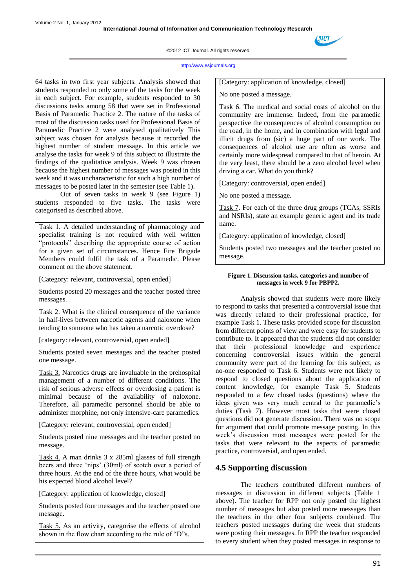

#### http://www.esjournals.org

64 tasks in two first year subjects. Analysis showed that students responded to only some of the tasks for the week in each subject. For example, students responded to 30 discussions tasks among 58 that were set in Professional Basis of Paramedic Practice 2. The nature of the tasks of most of the discussion tasks used for Professional Basis of Paramedic Practice 2 were analysed qualitatively This subject was chosen for analysis because it recorded the highest number of student message. In this article we analyse the tasks for week 9 of this subject to illustrate the findings of the qualitative analysis. Week 9 was chosen because the highest number of messages was posted in this week and it was uncharacteristic for such a high number of messages to be posted later in the semester (see Table 1).

Out of seven tasks in week 9 (see Figure 1) students responded to five tasks. The tasks were categorised as described above.

Task 1. A detailed understanding of pharmacology and specialist training is not required with well written "protocols" describing the appropriate course of action for a given set of circumstances. Hence Fire Brigade Members could fulfil the task of a Paramedic. Please comment on the above statement.

[Category: relevant, controversial, open ended]

Students posted 20 messages and the teacher posted three messages.

Task 2. What is the clinical consequence of the variance in half-lives between narcotic agents and naloxone when tending to someone who has taken a narcotic overdose?

[category: relevant, controversial, open ended]

Students posted seven messages and the teacher posted one message.

Task 3. Narcotics drugs are invaluable in the prehospital management of a number of different conditions. The risk of serious adverse effects or overdosing a patient is minimal because of the availability of naloxone. Therefore, all paramedic personnel should be able to administer morphine, not only intensive-care paramedics.

[Category: relevant, controversial, open ended]

Students posted nine messages and the teacher posted no message.

Task 4. A man drinks 3 x 285ml glasses of full strength beers and three "nips" (30ml) of scotch over a period of three hours. At the end of the three hours, what would be his expected blood alcohol level?

[Category: application of knowledge, closed]

Students posted four messages and the teacher posted one message.

Task 5. As an activity, categorise the effects of alcohol shown in the flow chart according to the rule of "D"s.

[Category: application of knowledge, closed]

No one posted a message.

Task 6. The medical and social costs of alcohol on the community are immense. Indeed, from the paramedic perspective the consequences of alcohol consumption on the road, in the home, and in combination with legal and illicit drugs from (sic) a huge part of our work. The consequences of alcohol use are often as worse and certainly more widespread compared to that of heroin. At the very least, there should be a zero alcohol level when driving a car. What do you think?

[Category: controversial, open ended]

No one posted a message.

Task 7. For each of the three drug groups (TCAs, SSRIs and NSRIs), state an example generic agent and its trade name.

[Category: application of knowledge, closed]

Students posted two messages and the teacher posted no message.

#### **Figure 1. Discussion tasks, categories and number of messages in week 9 for PBPP2.**

Analysis showed that students were more likely to respond to tasks that presented a controversial issue that was directly related to their professional practice, for example Task 1. These tasks provided scope for discussion from different points of view and were easy for students to contribute to. It appeared that the students did not consider that their professional knowledge and experience concerning controversial issues within the general community were part of the learning for this subject, as no-one responded to Task 6. Students were not likely to respond to closed questions about the application of content knowledge, for example Task 5. Students responded to a few closed tasks (questions) where the ideas given was very much central to the paramedic's duties (Task 7). However most tasks that were closed questions did not generate discussion. There was no scope for argument that could promote message posting. In this week"s discussion most messages were posted for the tasks that were relevant to the aspects of paramedic practice, controversial, and open ended.

## **4.5 Supporting discussion**

The teachers contributed different numbers of messages in discussion in different subjects (Table 1 above). The teacher for RPP not only posted the highest number of messages but also posted more messages than the teachers in the other four subjects combined. The teachers posted messages during the week that students were posting their messages. In RPP the teacher responded to every student when they posted messages in response to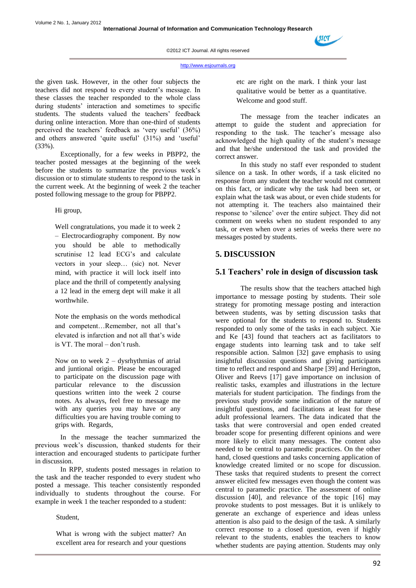

the given task. However, in the other four subjects the teachers did not respond to every student"s message. In these classes the teacher responded to the whole class during students" interaction and sometimes to specific students. The students valued the teachers' feedback during online interaction. More than one-third of students perceived the teachers' feedback as 'very useful' (36%) and others answered 'quite useful' (31%) and 'useful' (33%).

Exceptionally, for a few weeks in PBPP2, the teacher posted messages at the beginning of the week before the students to summarize the previous week"s discussion or to stimulate students to respond to the task in the current week. At the beginning of week 2 the teacher posted following message to the group for PBPP2.

Hi group,

Well congratulations, you made it to week 2 – Electrocardiography component. By now you should be able to methodically scrutinise 12 lead ECG's and calculate vectors in your sleep… (sic) not. Never mind, with practice it will lock itself into place and the thrill of competently analysing a 12 lead in the emerg dept will make it all worthwhile.

Note the emphasis on the words methodical and competent…Remember, not all that"s elevated is infarction and not all that"s wide is VT. The moral  $-$  don't rush.

Now on to week  $2 -$  dysrhythmias of atrial and juntional origin. Please be encouraged to participate on the discussion page with particular relevance to the discussion questions written into the week 2 course notes. As always, feel free to message me with any queries you may have or any difficulties you are having trouble coming to grips with. Regards,

In the message the teacher summarized the previous week"s discussion, thanked students for their interaction and encouraged students to participate further in discussion.

In RPP, students posted messages in relation to the task and the teacher responded to every student who posted a message. This teacher consistently responded individually to students throughout the course. For example in week 1 the teacher responded to a student:

Student,

What is wrong with the subject matter? An excellent area for research and your questions

etc are right on the mark. I think your last qualitative would be better as a quantitative. Welcome and good stuff.

The message from the teacher indicates an attempt to guide the student and appreciation for responding to the task. The teacher's message also acknowledged the high quality of the student"s message and that he/she understood the task and provided the correct answer.

In this study no staff ever responded to student silence on a task. In other words, if a task elicited no response from any student the teacher would not comment on this fact, or indicate why the task had been set, or explain what the task was about, or even chide students for not attempting it. The teachers also maintained their response to "silence" over the entire subject. They did not comment on weeks when no student responded to any task, or even when over a series of weeks there were no messages posted by students.

# **5. DISCUSSION**

## **5.1 Teachers' role in design of discussion task**

The results show that the teachers attached high importance to message posting by students. Their sole strategy for promoting message posting and interaction between students, was by setting discussion tasks that were optional for the students to respond to. Students responded to only some of the tasks in each subject. Xie and Ke [43] found that teachers act as facilitators to engage students into learning task and to take self responsible action. Salmon [32] gave emphasis to using insightful discussion questions and giving participants time to reflect and respond and Sharpe [39] and Herington, Oliver and Reevs [17] gave importance on inclusion of realistic tasks, examples and illustrations in the lecture materials for student participation. The findings from the previous study provide some indication of the nature of insightful questions, and facilitations at least for these adult professional learners. The data indicated that the tasks that were controversial and open ended created broader scope for presenting different opinions and were more likely to elicit many messages. The content also needed to be central to paramedic practices. On the other hand, closed questions and tasks concerning application of knowledge created limited or no scope for discussion. These tasks that required students to present the correct answer elicited few messages even though the content was central to paramedic practice. The assessment of online discussion [40], and relevance of the topic [16] may provoke students to post messages. But it is unlikely to generate an exchange of experience and ideas unless attention is also paid to the design of the task. A similarly correct response to a closed question, even if highly relevant to the students, enables the teachers to know whether students are paying attention. Students may only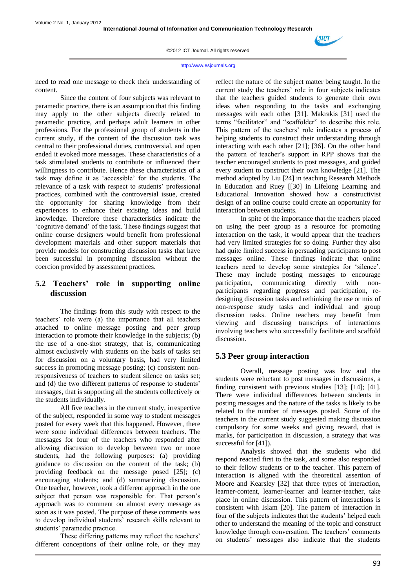

need to read one message to check their understanding of content.

Since the content of four subjects was relevant to paramedic practice, there is an assumption that this finding may apply to the other subjects directly related to paramedic practice, and perhaps adult learners in other professions. For the professional group of students in the current study, if the content of the discussion task was central to their professional duties, controversial, and open ended it evoked more messages. These characteristics of a task stimulated students to contribute or influenced their willingness to contribute. Hence these characteristics of a task may define it as "accessible" for the students. The relevance of a task with respect to students' professional practices, combined with the controversial issue, created the opportunity for sharing knowledge from their experiences to enhance their existing ideas and build knowledge. Therefore these characteristics indicate the "cognitive demand" of the task. These findings suggest that online course designers would benefit from professional development materials and other support materials that provide models for constructing discussion tasks that have been successful in prompting discussion without the coercion provided by assessment practices.

# **5.2 Teachers' role in supporting online discussion**

The findings from this study with respect to the teachers" role were (a) the importance that all teachers attached to online message posting and peer group interaction to promote their knowledge in the subjects; (b) the use of a one-shot strategy, that is, communicating almost exclusively with students on the basis of tasks set for discussion on a voluntary basis, had very limited success in promoting message posting; (c) consistent nonresponsiveness of teachers to student silence on tasks set; and (d) the two different patterns of response to students' messages, that is supporting all the students collectively or the students individually.

All five teachers in the current study, irrespective of the subject, responded in some way to student messages posted for every week that this happened. However, there were some individual differences between teachers. The messages for four of the teachers who responded after allowing discussion to develop between two or more students, had the following purposes: (a) providing guidance to discussion on the content of the task; (b) providing feedback on the message posed [25]; (c) encouraging students; and (d) summarizing discussion. One teacher, however, took a different approach in the one subject that person was responsible for. That person's approach was to comment on almost every message as soon as it was posted. The purpose of these comments was to develop individual students' research skills relevant to students' paramedic practice.

These differing patterns may reflect the teachers' different conceptions of their online role, or they may reflect the nature of the subject matter being taught. In the current study the teachers" role in four subjects indicates that the teachers guided students to generate their own ideas when responding to the tasks and exchanging messages with each other [31]. Makrakis [31] used the terms "facilitator" and "scaffolder" to describe this role. This pattern of the teachers' role indicates a process of helping students to construct their understanding through interacting with each other [21]; [36]. On the other hand the pattern of teacher"s support in RPP shows that the teacher encouraged students to post messages, and guided every student to construct their own knowledge [21]. The method adopted by Liu [24] in teaching Research Methods in Education and Ruey [[30] in Lifelong Learning and Educational Innovation showed how a constructivist design of an online course could create an opportunity for interaction between students.

In spite of the importance that the teachers placed on using the peer group as a resource for promoting interaction on the task, it would appear that the teachers had very limited strategies for so doing. Further they also had quite limited success in persuading participants to post messages online. These findings indicate that online teachers need to develop some strategies for "silence". These may include posting messages to encourage participation, communicating directly with nonparticipants regarding progress and participation, redesigning discussion tasks and rethinking the use or mix of non-response study tasks and individual and group discussion tasks. Online teachers may benefit from viewing and discussing transcripts of interactions involving teachers who successfully facilitate and scaffold discussion.

# **5.3 Peer group interaction**

Overall, message posting was low and the students were reluctant to post messages in discussions, a finding consistent with previous studies [13]; [14]; [41]. There were individual differences between students in posting messages and the nature of the tasks is likely to be related to the number of messages posted. Some of the teachers in the current study suggested making discussion compulsory for some weeks and giving reward, that is marks, for participation in discussion, a strategy that was successful for [41]).

Analysis showed that the students who did respond reacted first to the task, and some also responded to their fellow students or to the teacher. This pattern of interaction is aligned with the theoretical assertion of Moore and Kearsley [32] that three types of interaction, learner-content, learner-learner and learner-teacher, take place in online discussion. This pattern of interactions is consistent with Islam [20]. The pattern of interaction in four of the subjects indicates that the students' helped each other to understand the meaning of the topic and construct knowledge through conversation. The teachers' comments on students" messages also indicate that the students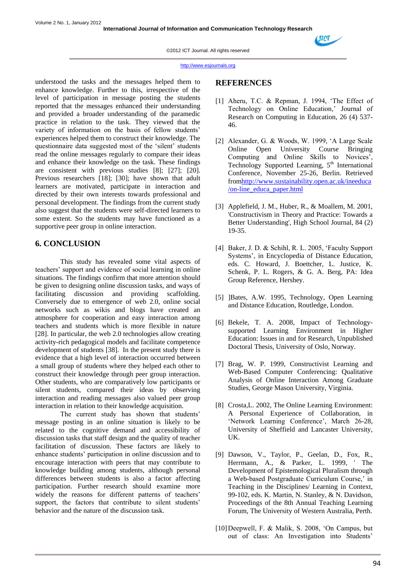

http://www.esjournals.org

understood the tasks and the messages helped them to enhance knowledge. Further to this, irrespective of the level of participation in message posting the students reported that the messages enhanced their understanding and provided a broader understanding of the paramedic practice in relation to the task. They viewed that the variety of information on the basis of fellow students' experiences helped them to construct their knowledge. The questionnaire data suggested most of the "silent" students read the online messages regularly to compare their ideas and enhance their knowledge on the task. These findings are consistent with previous studies [8]; [27]; [20]. Previous researchers [18]; [30]; have shown that adult learners are motivated, participate in interaction and directed by their own interests towards professional and personal development. The findings from the current study also suggest that the students were self-directed learners to some extent. So the students may have functioned as a supportive peer group in online interaction.

# **6. CONCLUSION**

This study has revealed some vital aspects of teachers" support and evidence of social learning in online situations. The findings confirm that more attention should be given to designing online discussion tasks, and ways of facilitating discussion and providing scaffolding. Conversely due to emergence of web 2.0, online social networks such as wikis and blogs have created an atmosphere for cooperation and easy interaction among teachers and students which is more flexible in nature [28]. In particular, the web 2.0 technologies allow creating activity-rich pedagogical models and facilitate competence development of students [38]. In the present study there is evidence that a high level of interaction occurred between a small group of students where they helped each other to construct their knowledge through peer group interaction. Other students, who are comparatively low participants or silent students, compared their ideas by observing interaction and reading messages also valued peer group interaction in relation to their knowledge acquisition.

The current study has shown that students' message posting in an online situation is likely to be related to the cognitive demand and accessibility of discussion tasks that staff design and the quality of teacher facilitation of discussion. These factors are likely to enhance students" participation in online discussion and to encourage interaction with peers that may contribute to knowledge building among students, although personal differences between students is also a factor affecting participation. Further research should examine more widely the reasons for different patterns of teachers' support, the factors that contribute to silent students' behavior and the nature of the discussion task.

#### **REFERENCES**

- [1] Aheru, T.C. & Repman, J. 1994, "The Effect of Technology on Online Education,' Journal of Research on Computing in Education, 26 (4) 537- 46.
- [2] Alexander, G. & Woods, W. 1999, "A Large Scale Online Open University Course Bringing Computing and Online Skills to Novices', Technology Supported Learning, 5<sup>th</sup> International Conference, November 25-26, Berlin. Retrieved fro[mhttp://www.sustainability.open.ac.uk/ineeduca](http://www.sustainability.open.ac.uk/ineeduca/on-line_educa_paper.html) [/on-line\\_educa\\_paper.html](http://www.sustainability.open.ac.uk/ineeduca/on-line_educa_paper.html)
- [3] Applefield, J. M., Huber, R., & Moallem, M. 2001, 'Constructivism in Theory and Practice: Towards a Better Understanding', High School Journal, 84 (2) 19-35.
- [4] Baker, J. D. & Schihl, R. L. 2005, 'Faculty Support Systems", in Encyclopedia of Distance Education, eds. C. Howard, J. Boettcher, L. Justice, K. Schenk, P. L. Rogers, & G. A. Berg, PA: Idea Group Reference, Hershey.
- [5] ]Bates, A.W. 1995, Technology, Open Learning and Distance Education, Routledge, London.
- [6] Bekele, T. A. 2008, Impact of Technologysupported Learning Environment in Higher Education: Issues in and for Research, Unpublished Doctoral Thesis, University of Oslo, Norway.
- [7] Brag, W. P. 1999, Constructivist Learning and Web-Based Computer Conferencing: Qualitative Analysis of Online Interaction Among Graduate Studies, George Mason University, Virginia.
- [8] Crosta, L. 2002, The Online Learning Environment: A Personal Experience of Collaboration, in 'Network Learning Conference', March 26-28, University of Sheffield and Lancaster University, UK.
- [9] Dawson, V., Taylor, P., Geelan, D., Fox, R., Herrmann, A., & Parker, L. 1999, ' The Development of Epistemological Pluralism through a Web-based Postgraduate Curriculum Course,' in Teaching in the Disciplines/ Learning in Context, 99-102, eds. K. Martin, N. Stanley, & N. Davidson, Proceedings of the 8th Annual Teaching Learning Forum, The University of Western Australia, Perth.
- [10]Deepwell, F. & Malik, S. 2008, "On Campus, but out of class: An Investigation into Students'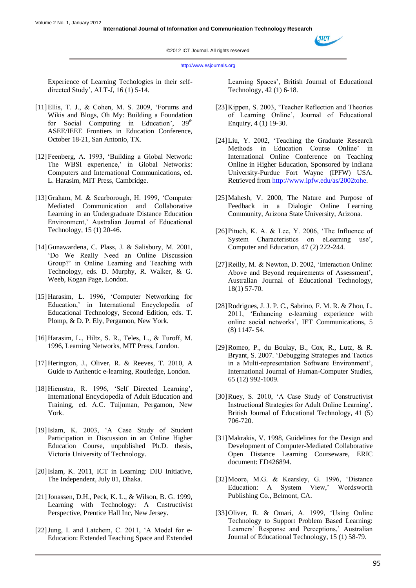

http://www.esjournals.org

Experience of Learning Techologies in their selfdirected Study", ALT-J, 16 (1) 5-14.

- [11]Ellis, T. J., & Cohen, M. S. 2009, "Forums and Wikis and Blogs, Oh My: Building a Foundation for Social Computing in Education',  $39<sup>th</sup>$ ASEE/IEEE Frontiers in Education Conference, October 18-21, San Antonio, TX.
- [12]Feenberg, A. 1993, "Building a Global Network: The WBSI experience,' in Global Networks: Computers and International Communications, ed. L. Harasim, MIT Press, Cambridge.
- [13]Graham, M. & Scarborough, H. 1999, "Computer Mediated Communication and Collaborative Learning in an Undergraduate Distance Education Environment," Australian Journal of Educational Technology, 15 (1) 20-46.
- [14]Gunawardena, C. Plass, J. & Salisbury, M. 2001, "Do We Really Need an Online Discussion Group?" in Online Learning and Teaching with Technology, eds. D. Murphy, R. Walker, & G. Weeb, Kogan Page, London.
- [15] Harasim, L. 1996, 'Computer Networking for Education," in International Encyclopedia of Educational Technology, Second Edition, eds. T. Plomp, & D. P. Ely, Pergamon, New York.
- [16]Harasim, L., Hiltz, S. R., Teles, L., & Turoff, M. 1996, Learning Networks, MIT Press, London.
- [17]Herington, J., Oliver, R. & Reeves, T. 2010, A Guide to Authentic e-learning, Routledge, London.
- [18] Hiemstra, R. 1996, 'Self Directed Learning', International Encyclopedia of Adult Education and Training, ed. A.C. Tuijnman, Pergamon, New York.
- [19]Islam, K. 2003, "A Case Study of Student Participation in Discussion in an Online Higher Education Course, unpublished Ph.D. thesis, Victoria University of Technology.
- [20] Islam, K. 2011, ICT in Learning: DIU Initiative, The Independent, July 01, Dhaka.
- [21]Jonassen, D.H., Peck, K. L., & Wilson, B. G. 1999, Learning with Technology: A Cnstructivist Perspective, Prentice Hall Inc, New Jersey.
- [22] Jung, I. and Latchem, C. 2011, 'A Model for e-Education: Extended Teaching Space and Extended

Learning Spaces", British Journal of Educational Technology, 42 (1) 6-18.

- [23]Kippen, S. 2003, "Teacher Reflection and Theories of Learning Online", Journal of Educational Enquiry, 4 (1) 19-30.
- [24]Liu, Y. 2002, "Teaching the Graduate Research Methods in Education Course Online" in International Online Conference on Teaching Online in Higher Education, Sponsored by Indiana University-Purdue Fort Wayne (IPFW) USA. Retrieved from [http://www.ipfw.edu/as/2002tohe.](http://www.ipfw.edu/as/2002tohe)
- [25] Mahesh, V. 2000. The Nature and Purpose of Feedback in a Dialogic Online Learning Community, Arizona State University, Arizona.
- [26]Pituch, K. A. & Lee, Y. 2006, "The Influence of System Characteristics on eLearning use', Computer and Education, 47 (2) 222-244.
- [27] Reilly, M. & Newton, D. 2002, 'Interaction Online: Above and Beyond requirements of Assessment", Australian Journal of Educational Technology, 18(1) 57-70.
- [28]Rodrigues, J. J. P. C., Sabrino, F. M. R. & Zhou, L. 2011, "Enhancing e-learning experience with online social networks", IET Communications, 5 (8) 1147- 54.
- [29]Romeo, P., du Boulay, B., Cox, R., Lutz, & R. Bryant, S. 2007. "Debugging Strategies and Tactics in a Multi-representation Software Environment', International Journal of Human-Computer Studies, 65 (12) 992-1009.
- [30]Ruey, S. 2010, "A Case Study of Constructivist Instructional Strategies for Adult Online Learning", British Journal of Educational Technology, 41 (5) 706-720.
- [31] Makrakis, V. 1998, Guidelines for the Design and Development of Computer-Mediated Collaborative Open Distance Learning Courseware, ERIC document: ED426894.
- [32]Moore, M.G. & Kearsley, G. 1996, "Distance Education: A System View,' Wordsworth Publishing Co., Belmont, CA.
- [33]Oliver, R. & Omari, A. 1999, "Using Online Technology to Support Problem Based Learning: Learners' Response and Perceptions,' Australian Journal of Educational Technology, 15 (1) 58-79.